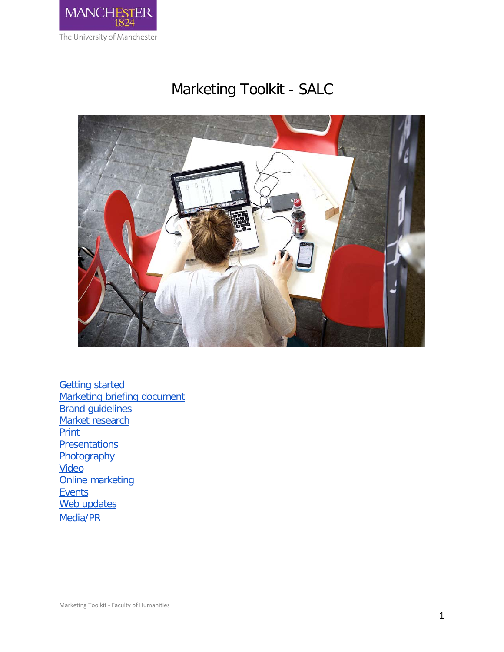

# Marketing Toolkit - SALC



<span id="page-0-0"></span>**[Getting started](#page-0-0)** [Marketing briefing document](#page-2-0) **Brand quidelines** [Market research](#page-5-0) **[Print](#page-9-0) [Presentations](#page-11-0) [Photography](#page-13-0) [Video](#page-15-0)** [Online marketing](#page-17-0) **[Events](#page-19-0)** [Web updates](#page-22-0) [Media/PR](#page-23-0)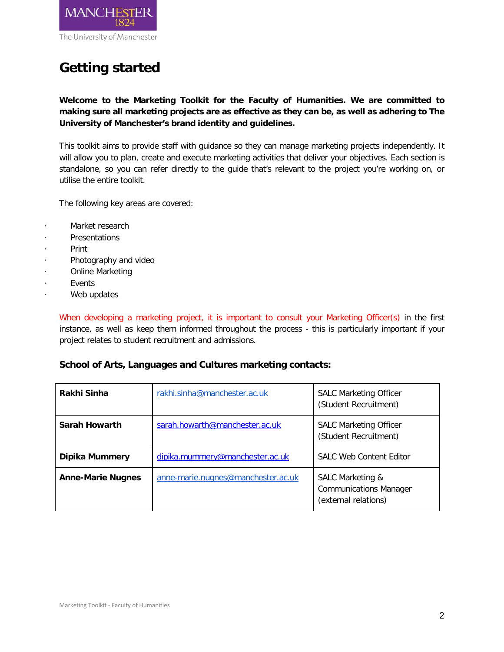

## **Getting started**

**Welcome to the Marketing Toolkit for the Faculty of Humanities. We are committed to making sure all marketing projects are as effective as they can be, as well as adhering to The University of Manchester's brand identity and guidelines.** 

This toolkit aims to provide staff with guidance so they can manage marketing projects independently. It will allow you to plan, create and execute marketing activities that deliver your objectives. Each section is standalone, so you can refer directly to the guide that's relevant to the project you're working on, or utilise the entire toolkit.

The following key areas are covered:

- Market research
- **Presentations**
- · Print
- Photography and video
- Online Marketing
- **Fvents**
- Web updates

When developing a marketing project, it is important to consult your Marketing Officer(s) in the first instance, as well as keep them informed throughout the process - this is particularly important if your project relates to student recruitment and admissions.

## **School of Arts, Languages and Cultures marketing contacts:**

| Rakhi Sinha              | rakhi.sinha@manchester.ac.uk       | <b>SALC Marketing Officer</b><br>(Student Recruitment)                    |
|--------------------------|------------------------------------|---------------------------------------------------------------------------|
| Sarah Howarth            | sarah.howarth@manchester.ac.uk     | <b>SALC Marketing Officer</b><br>(Student Recruitment)                    |
| Dipika Mummery           | dipika.mummery@manchester.ac.uk    | <b>SALC Web Content Editor</b>                                            |
| <b>Anne-Marie Nugnes</b> | anne-marie.nugnes@manchester.ac.uk | SALC Marketing &<br><b>Communications Manager</b><br>(external relations) |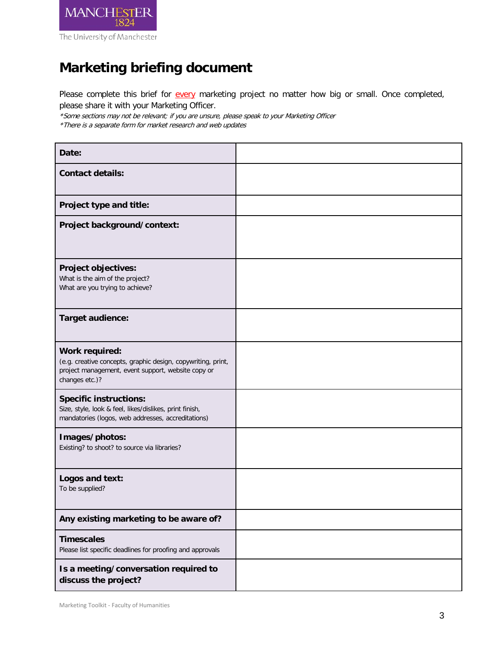

## <span id="page-2-0"></span>**Marketing briefing document**

Please complete this brief for every marketing project no matter how big or small. Once completed, please share it with your Marketing Officer.

\*Some sections may not be relevant; if you are unsure, please speak to your Marketing Officer \*There is a separate form for market research and web updates

| Date:                                                                                                                                                  |  |
|--------------------------------------------------------------------------------------------------------------------------------------------------------|--|
| <b>Contact details:</b>                                                                                                                                |  |
| Project type and title:                                                                                                                                |  |
| Project background/context:                                                                                                                            |  |
| Project objectives:<br>What is the aim of the project?<br>What are you trying to achieve?                                                              |  |
| Target audience:                                                                                                                                       |  |
| Work required:<br>(e.g. creative concepts, graphic design, copywriting, print,<br>project management, event support, website copy or<br>changes etc.)? |  |
| <b>Specific instructions:</b><br>Size, style, look & feel, likes/dislikes, print finish,<br>mandatories (logos, web addresses, accreditations)         |  |
| Images/photos:<br>Existing? to shoot? to source via libraries?                                                                                         |  |
| Logos and text:<br>To be supplied?                                                                                                                     |  |
| Any existing marketing to be aware of?                                                                                                                 |  |
| <b>Timescales</b><br>Please list specific deadlines for proofing and approvals                                                                         |  |
| Is a meeting/conversation required to<br>discuss the project?                                                                                          |  |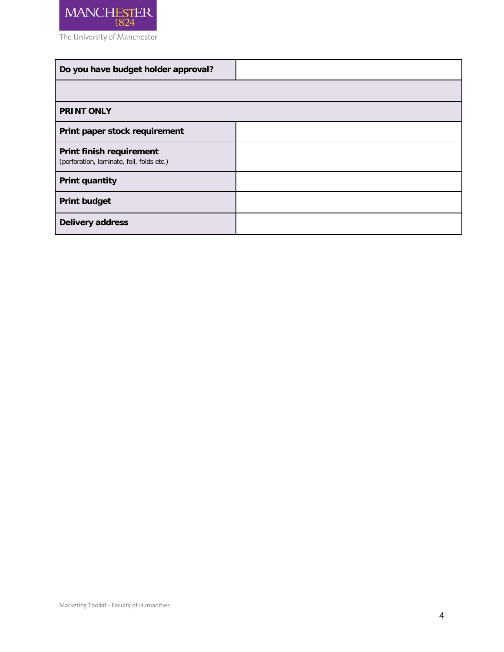

<span id="page-3-0"></span>

| Do you have budget holder approval?                                   |  |
|-----------------------------------------------------------------------|--|
|                                                                       |  |
| <b>PRINT ONLY</b>                                                     |  |
| Print paper stock requirement                                         |  |
| Print finish requirement<br>(perforation, laminate, foil, folds etc.) |  |
| <b>Print quantity</b>                                                 |  |
| <b>Print budget</b>                                                   |  |
| Delivery address                                                      |  |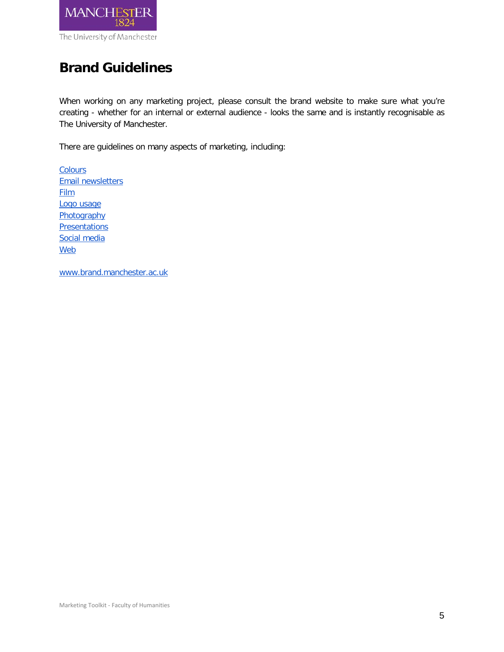

## **Brand Guidelines**

When working on any marketing project, please consult the brand website to make sure what you're creating - whether for an internal or external audience - looks the same and is instantly recognisable as The University of Manchester.

There are guidelines on many aspects of marketing, including:

**[Colours](http://www.brand.manchester.ac.uk/visual-identity/colour/)** [Email newsletters](http://www.brand.manchester.ac.uk/visual-identity/email-templates-guidelines/) **[Film](http://www.brand.manchester.ac.uk/visual-identity/film/)** [Logo usage](http://www.brand.manchester.ac.uk/visual-identity/logo/) **[Photography](http://www.brand.manchester.ac.uk/visual-identity/photography/) [Presentations](http://www.brand.manchester.ac.uk/visual-identity/presentations/)** [Social media](http://www.brand.manchester.ac.uk/visual-identity/social-media/) [Web](http://www.brand.manchester.ac.uk/visual-identity/web/)

[www.brand.manchester.ac.uk](http://www.brand.manchester.ac.uk/)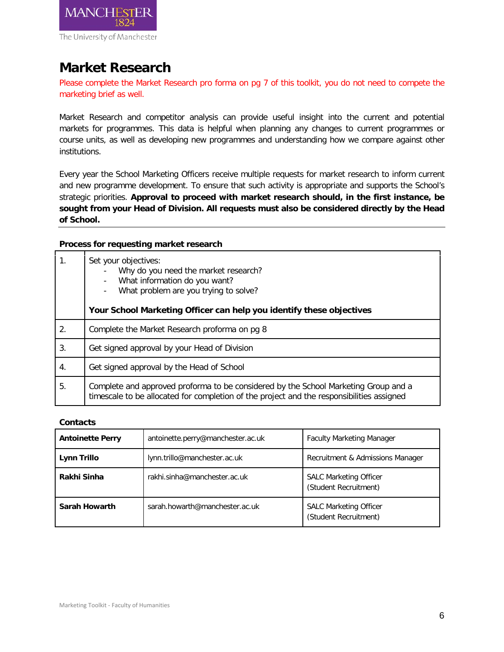

## <span id="page-5-0"></span>**Market Research**

Please complete the Market Research pro forma on pg 7 of this toolkit, you do not need to compete the marketing brief as well.

Market Research and competitor analysis can provide useful insight into the current and potential markets for programmes. This data is helpful when planning any changes to current programmes or course units, as well as developing new programmes and understanding how we compare against other institutions.

Every year the School Marketing Officers receive multiple requests for market research to inform current and new programme development. To ensure that such activity is appropriate and supports the School's strategic priorities. **Approval to proceed with market research should, in the first instance, be sought from your Head of Division. All requests must also be considered directly by the Head of School.**

## **Process for requesting market research**

| 1. | Set your objectives:<br>Why do you need the market research?<br>What information do you want?<br>What problem are you trying to solve?<br>Your School Marketing Officer can help you identify these objectives |
|----|----------------------------------------------------------------------------------------------------------------------------------------------------------------------------------------------------------------|
| 2. | Complete the Market Research proforma on pg 8                                                                                                                                                                  |
| 3. | Get signed approval by your Head of Division                                                                                                                                                                   |
| 4. | Get signed approval by the Head of School                                                                                                                                                                      |
| 5. | Complete and approved proforma to be considered by the School Marketing Group and a<br>timescale to be allocated for completion of the project and the responsibilities assigned                               |

## **Contacts**

| <b>Antoinette Perry</b> | antoinette.perry@manchester.ac.uk | <b>Faculty Marketing Manager</b>                       |
|-------------------------|-----------------------------------|--------------------------------------------------------|
| Lynn Trillo             | lynn.trillo@manchester.ac.uk      | Recruitment & Admissions Manager                       |
| Rakhi Sinha             | rakhi.sinha@manchester.ac.uk      | <b>SALC Marketing Officer</b><br>(Student Recruitment) |
| <b>Sarah Howarth</b>    | sarah.howarth@manchester.ac.uk    | <b>SALC Marketing Officer</b><br>(Student Recruitment) |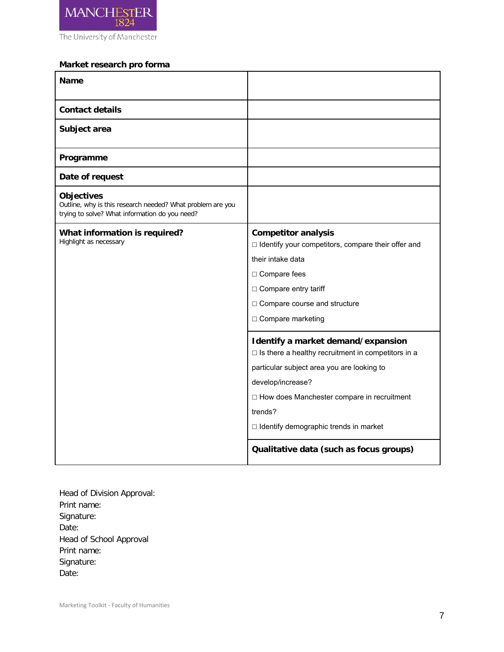

## **Market research pro forma**

| <b>Name</b>                                                                                                                       |                                                                                                 |
|-----------------------------------------------------------------------------------------------------------------------------------|-------------------------------------------------------------------------------------------------|
| <b>Contact details</b>                                                                                                            |                                                                                                 |
| Subject area                                                                                                                      |                                                                                                 |
| Programme                                                                                                                         |                                                                                                 |
| Date of request                                                                                                                   |                                                                                                 |
| <b>Objectives</b><br>Outline, why is this research needed? What problem are you<br>trying to solve? What information do you need? |                                                                                                 |
| What information is required?<br>Highlight as necessary                                                                           | <b>Competitor analysis</b><br>□ Identify your competitors, compare their offer and              |
|                                                                                                                                   | their intake data                                                                               |
|                                                                                                                                   | □ Compare fees                                                                                  |
|                                                                                                                                   | □ Compare entry tariff                                                                          |
|                                                                                                                                   | □ Compare course and structure                                                                  |
|                                                                                                                                   | □ Compare marketing                                                                             |
|                                                                                                                                   | Identify a market demand/expansion<br>$\Box$ Is there a healthy recruitment in competitors in a |
|                                                                                                                                   | particular subject area you are looking to                                                      |
|                                                                                                                                   | develop/increase?                                                                               |
|                                                                                                                                   | □ How does Manchester compare in recruitment                                                    |
|                                                                                                                                   | trends?                                                                                         |
|                                                                                                                                   | □ Identify demographic trends in market                                                         |
|                                                                                                                                   | Qualitative data (such as focus groups)                                                         |

Head of Division Approval: Print name: Signature: Date: Head of School Approval Print name: Signature: Date: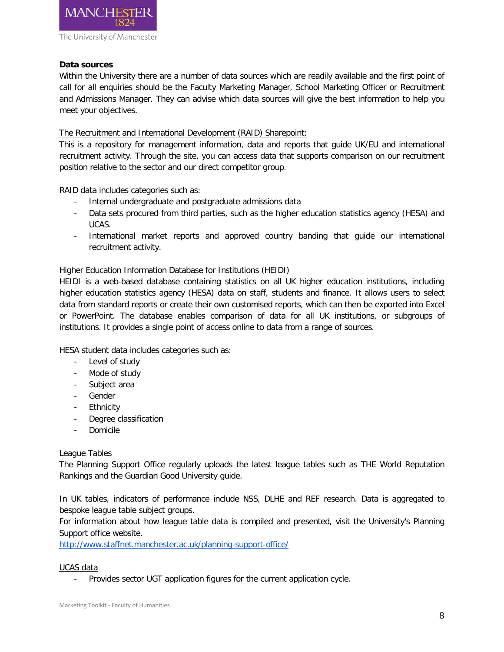

## **Data sources**

Within the University there are a number of data sources which are readily available and the first point of call for all enquiries should be the Faculty Marketing Manager, School Marketing Officer or Recruitment and Admissions Manager. They can advise which data sources will give the best information to help you meet your objectives.

## The Recruitment and International Development (RAID) Sharepoint:

This is a repository for management information, data and reports that guide UK/EU and international recruitment activity. Through the site, you can access data that supports comparison on our recruitment position relative to the sector and our direct competitor group.

RAID data includes categories such as:

- Internal undergraduate and postgraduate admissions data
- Data sets procured from third parties, such as the higher education statistics agency (HESA) and UCAS.
- International market reports and approved country banding that guide our international recruitment activity.

## Higher Education Information Database for Institutions (HEIDI)

HEIDI is a web-based database containing statistics on all UK higher education institutions, including higher education statistics agency (HESA) data on staff, students and finance. It allows users to select data from standard reports or create their own customised reports, which can then be exported into Excel or PowerPoint. The database enables comparison of data for all UK institutions, or subgroups of institutions. It provides a single point of access online to data from a range of sources.

HESA student data includes categories such as:

- Level of study
- Mode of study
- Subject area
- Gender
- Ethnicity
- Degree classification
- **Domicile**

## League Tables

The Planning Support Office regularly uploads the latest league tables such as THE World Reputation Rankings and the Guardian Good University guide.

In UK tables, indicators of performance include NSS, DLHE and REF research. Data is aggregated to bespoke league table subject groups.

For information about how league table data is compiled and presented, visit the University's Planning Support office website.

<http://www.staffnet.manchester.ac.uk/planning-support-office/>

## UCAS data

Provides sector UGT application figures for the current application cycle.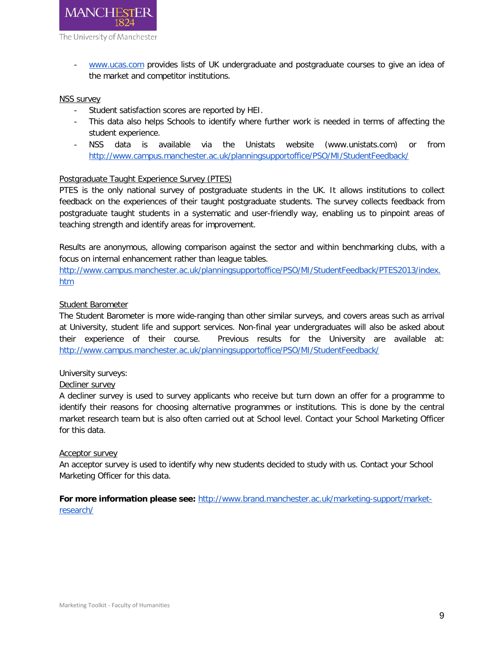

- [www.ucas.com](http://www.ucas.com/) provides lists of UK undergraduate and postgraduate courses to give an idea of the market and competitor institutions.

## NSS survey

- Student satisfaction scores are reported by HEI.
- This data also helps Schools to identify where further work is needed in terms of affecting the student experience.
- NSS data is available via the Unistats website (www.unistats.com) or from <http://www.campus.manchester.ac.uk/planningsupportoffice/PSO/MI/StudentFeedback/>

## Postgraduate Taught Experience Survey (PTES)

PTES is the only national survey of postgraduate students in the UK. It allows institutions to collect feedback on the experiences of their taught postgraduate students. The survey collects feedback from postgraduate taught students in a systematic and user-friendly way, enabling us to pinpoint areas of teaching strength and identify areas for improvement.

Results are anonymous, allowing comparison against the sector and within benchmarking clubs, with a focus on internal enhancement rather than league tables.

[http://www.campus.manchester.ac.uk/planningsupportoffice/PSO/MI/StudentFeedback/PTES2013/index.](http://www.campus.manchester.ac.uk/planningsupportoffice/PSO/MI/StudentFeedback/PTES2013/index.htm) [htm](http://www.campus.manchester.ac.uk/planningsupportoffice/PSO/MI/StudentFeedback/PTES2013/index.htm)

## Student Barometer

The Student Barometer is more wide-ranging than other similar surveys, and covers areas such as arrival at University, student life and support services. Non-final year undergraduates will also be asked about their experience of their course. Previous results for the University are available at: <http://www.campus.manchester.ac.uk/planningsupportoffice/PSO/MI/StudentFeedback/>

## University surveys:

## Decliner survey

A decliner survey is used to survey applicants who receive but turn down an offer for a programme to identify their reasons for choosing alternative programmes or institutions. This is done by the central market research team but is also often carried out at School level. Contact your School Marketing Officer for this data.

#### Acceptor survey

An acceptor survey is used to identify why new students decided to study with us. Contact your School Marketing Officer for this data.

## **For more information please see:** [http://www.brand.manchester.ac.uk/marketing-support/market](http://www.brand.manchester.ac.uk/marketing-support/market-research/)[research/](http://www.brand.manchester.ac.uk/marketing-support/market-research/)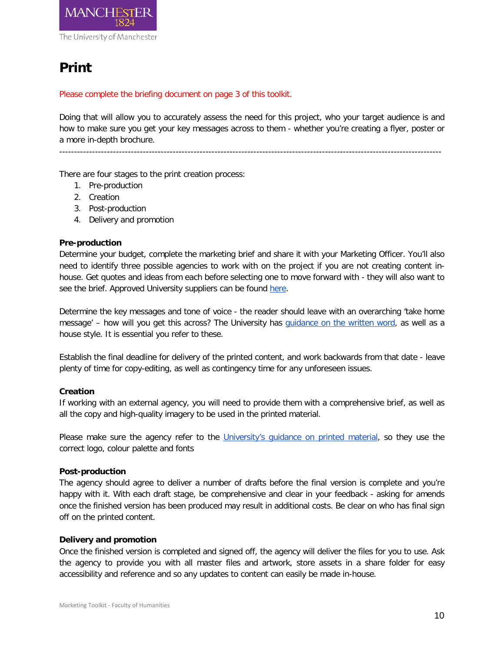

## <span id="page-9-0"></span>**Print**

Please complete the briefing document on page 3 of this toolkit.

Doing that will allow you to accurately assess the need for this project, who your target audience is and how to make sure you get your key messages across to them - whether you're creating a flyer, poster or a more in-depth brochure.

There are four stages to the print creation process:

- 1. Pre-production
- 2. Creation
- 3. Post-production
- 4. Delivery and promotion

## **Pre-production**

Determine your budget, complete the marketing brief and share it with your Marketing Officer. You'll also need to identify three possible agencies to work with on the project if you are not creating content inhouse. Get quotes and ideas from each before selecting one to move forward with - they will also want to see the brief. Approved University suppliers can be found [here.](http://www.brand.manchester.ac.uk/marketing-support/list-agencies-printers/)

Determine the key messages and tone of voice - the reader should leave with an overarching 'take home message' – how will you get this across? The University has [guidance on the written word,](http://www.brand.manchester.ac.uk/written-word/) as well as a house style. It is essential you refer to these.

Establish the final deadline for delivery of the printed content, and work backwards from that date - leave plenty of time for copy-editing, as well as contingency time for any unforeseen issues.

## **Creation**

If working with an external agency, you will need to provide them with a comprehensive brief, as well as all the copy and high-quality imagery to be used in the printed material.

Please make sure the agency refer to the University's quidance on printed material, so they use the correct logo, colour palette and fonts

## **Post-production**

The agency should agree to deliver a number of drafts before the final version is complete and you're happy with it. With each draft stage, be comprehensive and clear in your feedback - asking for amends once the finished version has been produced may result in additional costs. Be clear on who has final sign off on the printed content.

## **Delivery and promotion**

Once the finished version is completed and signed off, the agency will deliver the files for you to use. Ask the agency to provide you with all master files and artwork, store assets in a share folder for easy accessibility and reference and so any updates to content can easily be made in-house.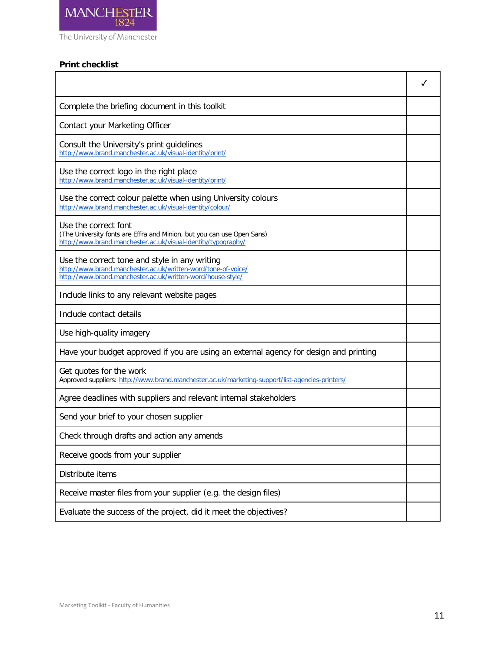

## **Print checklist**

| Complete the briefing document in this toolkit                                                                                                                                |  |
|-------------------------------------------------------------------------------------------------------------------------------------------------------------------------------|--|
| Contact your Marketing Officer                                                                                                                                                |  |
| Consult the University's print guidelines<br>http://www.brand.manchester.ac.uk/visual-identity/print/                                                                         |  |
| Use the correct logo in the right place<br>http://www.brand.manchester.ac.uk/visual-identity/print/                                                                           |  |
| Use the correct colour palette when using University colours<br>http://www.brand.manchester.ac.uk/visual-identity/colour/                                                     |  |
| Use the correct font<br>(The University fonts are Effra and Minion, but you can use Open Sans)<br>http://www.brand.manchester.ac.uk/visual-identity/typography/               |  |
| Use the correct tone and style in any writing<br>http://www.brand.manchester.ac.uk/written-word/tone-of-voice/<br>http://www.brand.manchester.ac.uk/written-word/house-style/ |  |
| Include links to any relevant website pages                                                                                                                                   |  |
| Include contact details                                                                                                                                                       |  |
| Use high-quality imagery                                                                                                                                                      |  |
| Have your budget approved if you are using an external agency for design and printing                                                                                         |  |
| Get quotes for the work<br>Approved suppliers: http://www.brand.manchester.ac.uk/marketing-support/list-agencies-printers/                                                    |  |
| Agree deadlines with suppliers and relevant internal stakeholders                                                                                                             |  |
| Send your brief to your chosen supplier                                                                                                                                       |  |
| Check through drafts and action any amends                                                                                                                                    |  |
| Receive goods from your supplier                                                                                                                                              |  |
| Distribute items                                                                                                                                                              |  |
| Receive master files from your supplier (e.g. the design files)                                                                                                               |  |
| Evaluate the success of the project, did it meet the objectives?                                                                                                              |  |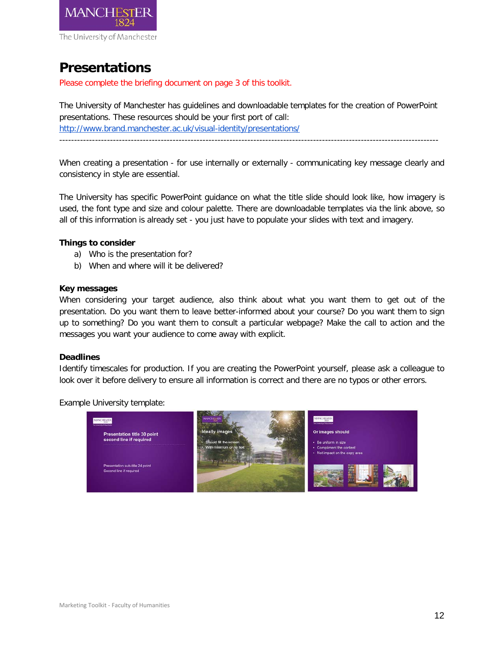

## <span id="page-11-0"></span>**Presentations**

Please complete the briefing document on page 3 of this toolkit.

The University of Manchester has guidelines and downloadable templates for the creation of PowerPoint presentations. These resources should be your first port of call: <http://www.brand.manchester.ac.uk/visual-identity/presentations/>

When creating a presentation - for use internally or externally - communicating key message clearly and consistency in style are essential.

The University has specific PowerPoint guidance on what the title slide should look like, how imagery is used, the font type and size and colour palette. There are downloadable templates via the link above, so all of this information is already set - you just have to populate your slides with text and imagery.

## **Things to consider**

- a) Who is the presentation for?
- b) When and where will it be delivered?

## **Key messages**

When considering your target audience, also think about what you want them to get out of the presentation. Do you want them to leave better-informed about your course? Do you want them to sign up to something? Do you want them to consult a particular webpage? Make the call to action and the messages you want your audience to come away with explicit.

## **Deadlines**

Identify timescales for production. If you are creating the PowerPoint yourself, please ask a colleague to look over it before delivery to ensure all information is correct and there are no typos or other errors.

Example University template:

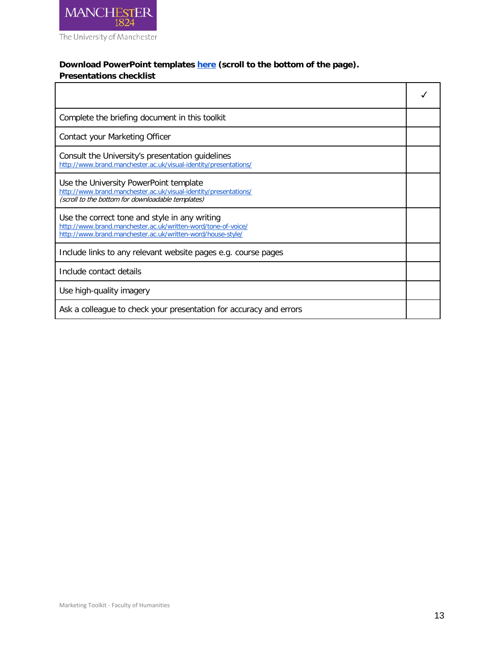

## **Download PowerPoint templates [here](http://www.brand.manchester.ac.uk/visual-identity/presentations/) (scroll to the bottom of the page).**

## **Presentations checklist**

| Complete the briefing document in this toolkit                                                                                                                                |  |
|-------------------------------------------------------------------------------------------------------------------------------------------------------------------------------|--|
| Contact your Marketing Officer                                                                                                                                                |  |
| Consult the University's presentation guidelines<br>http://www.brand.manchester.ac.uk/visual-identity/presentations/                                                          |  |
| Use the University PowerPoint template<br>http://www.brand.manchester.ac.uk/visual-identity/presentations/<br>(scroll to the bottom for downloadable templates)               |  |
| Use the correct tone and style in any writing<br>http://www.brand.manchester.ac.uk/written-word/tone-of-voice/<br>http://www.brand.manchester.ac.uk/written-word/house-style/ |  |
| Include links to any relevant website pages e.g. course pages                                                                                                                 |  |
| Include contact details                                                                                                                                                       |  |
| Use high-quality imagery                                                                                                                                                      |  |
| Ask a colleague to check your presentation for accuracy and errors                                                                                                            |  |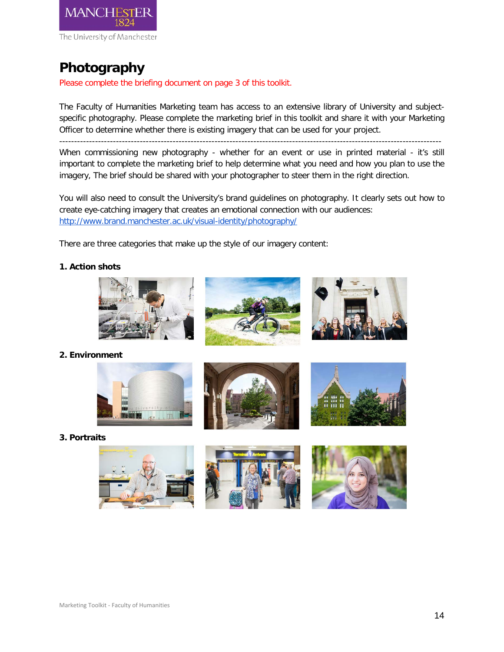

## <span id="page-13-0"></span>**Photography**

Please complete the briefing document on page 3 of this toolkit.

The Faculty of Humanities Marketing team has access to an extensive library of University and subjectspecific photography. Please complete the marketing brief in this toolkit and share it with your Marketing Officer to determine whether there is existing imagery that can be used for your project.

--------------------------------------------------------------------------------------------------------------------------------

When commissioning new photography - whether for an event or use in printed material - it's still important to complete the marketing brief to help determine what you need and how you plan to use the imagery, The brief should be shared with your photographer to steer them in the right direction.

You will also need to consult the University's brand guidelines on photography. It clearly sets out how to create eye-catching imagery that creates an emotional connection with our audiences: <http://www.brand.manchester.ac.uk/visual-identity/photography/>

There are three categories that make up the style of our imagery content:

## **1. Action shots**







**2. Environment**



**3. Portraits**

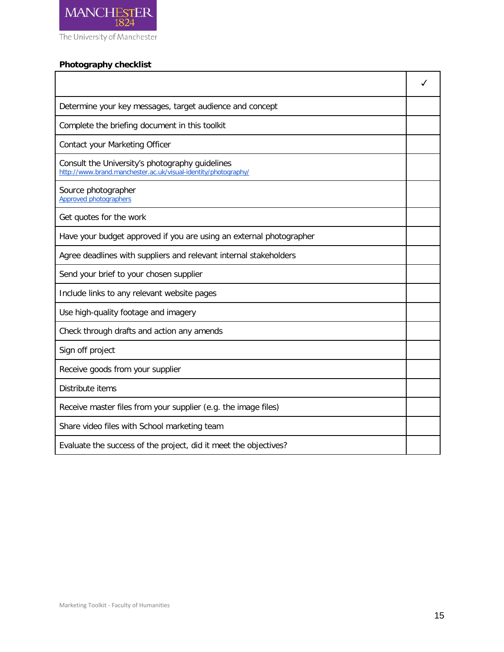

## **Photography checklist**

| Determine your key messages, target audience and concept                                                          |  |
|-------------------------------------------------------------------------------------------------------------------|--|
| Complete the briefing document in this toolkit                                                                    |  |
| Contact your Marketing Officer                                                                                    |  |
| Consult the University's photography guidelines<br>http://www.brand.manchester.ac.uk/visual-identity/photography/ |  |
| Source photographer<br><b>Approved photographers</b>                                                              |  |
| Get quotes for the work                                                                                           |  |
| Have your budget approved if you are using an external photographer                                               |  |
| Agree deadlines with suppliers and relevant internal stakeholders                                                 |  |
| Send your brief to your chosen supplier                                                                           |  |
| Include links to any relevant website pages                                                                       |  |
| Use high-quality footage and imagery                                                                              |  |
| Check through drafts and action any amends                                                                        |  |
| Sign off project                                                                                                  |  |
| Receive goods from your supplier                                                                                  |  |
| Distribute items                                                                                                  |  |
| Receive master files from your supplier (e.g. the image files)                                                    |  |
| Share video files with School marketing team                                                                      |  |
| Evaluate the success of the project, did it meet the objectives?                                                  |  |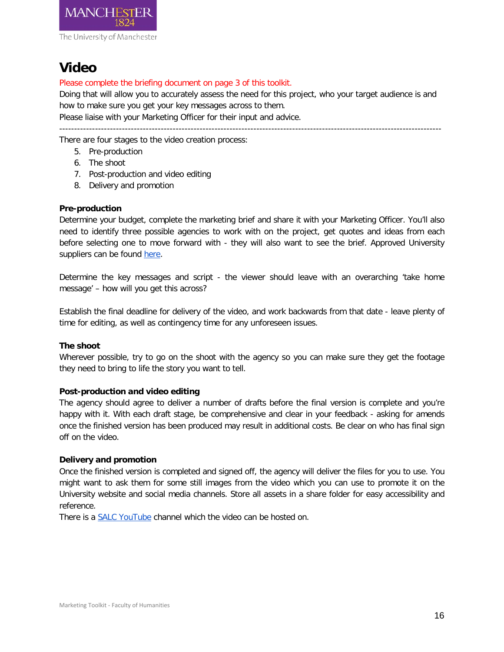

## <span id="page-15-0"></span>**Video**

## Please complete the briefing document on page 3 of this toolkit.

Doing that will allow you to accurately assess the need for this project, who your target audience is and how to make sure you get your key messages across to them.

Please liaise with your Marketing Officer for their input and advice.

--------------------------------------------------------------------------------------------------------------------------------

There are four stages to the video creation process:

- 5. Pre-production
- 6. The shoot
- 7. Post-production and video editing
- 8. Delivery and promotion

## **Pre-production**

Determine your budget, complete the marketing brief and share it with your Marketing Officer. You'll also need to identify three possible agencies to work with on the project, get quotes and ideas from each before selecting one to move forward with - they will also want to see the brief. Approved University suppliers can be found [here.](http://www.brand.manchester.ac.uk/marketing-support/list-agencies-printers/)

Determine the key messages and script - the viewer should leave with an overarching 'take home message' – how will you get this across?

Establish the final deadline for delivery of the video, and work backwards from that date - leave plenty of time for editing, as well as contingency time for any unforeseen issues.

## **The shoot**

Wherever possible, try to go on the shoot with the agency so you can make sure they get the footage they need to bring to life the story you want to tell.

## **Post-production and video editing**

The agency should agree to deliver a number of drafts before the final version is complete and you're happy with it. With each draft stage, be comprehensive and clear in your feedback - asking for amends once the finished version has been produced may result in additional costs. Be clear on who has final sign off on the video.

## **Delivery and promotion**

Once the finished version is completed and signed off, the agency will deliver the files for you to use. You might want to ask them for some still images from the video which you can use to promote it on the University website and social media channels. Store all assets in a share folder for easy accessibility and reference.

There is a [SALC YouTube](https://www.youtube.com/user/UoMSALC) channel which the video can be hosted on.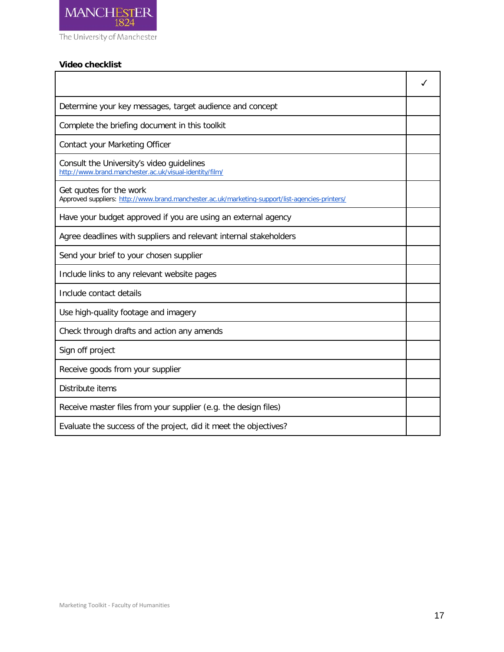

## **Video checklist**

| Determine your key messages, target audience and concept                                                                   |  |
|----------------------------------------------------------------------------------------------------------------------------|--|
| Complete the briefing document in this toolkit                                                                             |  |
| Contact your Marketing Officer                                                                                             |  |
| Consult the University's video guidelines<br>http://www.brand.manchester.ac.uk/visual-identity/film/                       |  |
| Get quotes for the work<br>Approved suppliers: http://www.brand.manchester.ac.uk/marketing-support/list-agencies-printers/ |  |
| Have your budget approved if you are using an external agency                                                              |  |
| Agree deadlines with suppliers and relevant internal stakeholders                                                          |  |
| Send your brief to your chosen supplier                                                                                    |  |
| Include links to any relevant website pages                                                                                |  |
| Include contact details                                                                                                    |  |
| Use high-quality footage and imagery                                                                                       |  |
| Check through drafts and action any amends                                                                                 |  |
| Sign off project                                                                                                           |  |
| Receive goods from your supplier                                                                                           |  |
| Distribute items                                                                                                           |  |
| Receive master files from your supplier (e.g. the design files)                                                            |  |
| Evaluate the success of the project, did it meet the objectives?                                                           |  |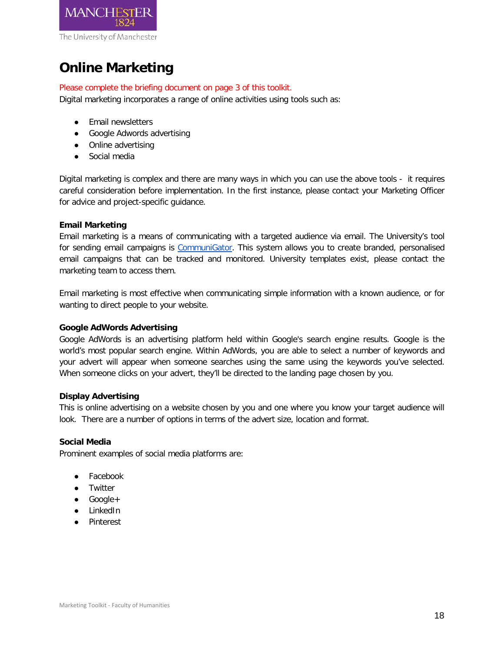

## <span id="page-17-0"></span>**Online Marketing**

## Please complete the briefing document on page 3 of this toolkit.

Digital marketing incorporates a range of online activities using tools such as:

- Email newsletters
- Google Adwords advertising
- Online advertising
- Social media

Digital marketing is complex and there are many ways in which you can use the above tools - it requires careful consideration before implementation. In the first instance, please contact your Marketing Officer for advice and project-specific guidance.

## **Email Marketing**

Email marketing is a means of communicating with a targeted audience via email. The University's tool for sending email campaigns is [CommuniGator.](https://www.communigator.co.uk/) This system allows you to create branded, personalised email campaigns that can be tracked and monitored. University templates exist, please contact the marketing team to access them.

Email marketing is most effective when communicating simple information with a known audience, or for wanting to direct people to your website.

## **Google AdWords Advertising**

Google AdWords is an advertising platform held within Google's search engine results. Google is the world's most popular search engine. Within AdWords, you are able to select a number of keywords and your advert will appear when someone searches using the same using the keywords you've selected. When someone clicks on your advert, they'll be directed to the landing page chosen by you.

## **Display Advertising**

This is online advertising on a website chosen by you and one where you know your target audience will look. There are a number of options in terms of the advert size, location and format.

## **Social Media**

Prominent examples of social media platforms are:

- Facebook
- Twitter
- Google+
- LinkedIn
- Pinterest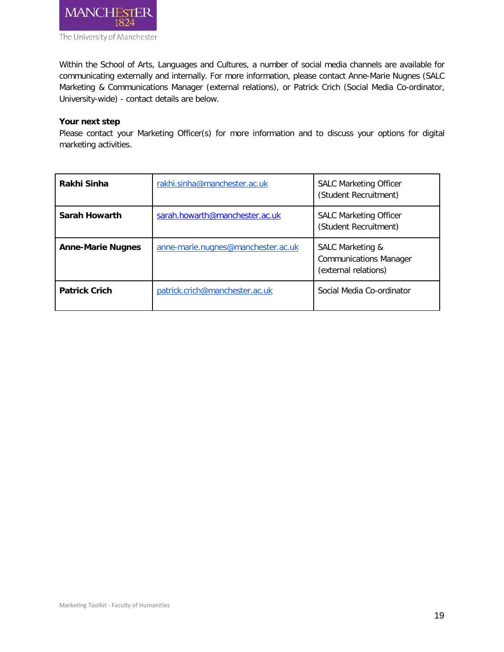

Within the School of Arts, Languages and Cultures, a number of social media channels are available for communicating externally and internally. For more information, please contact Anne-Marie Nugnes (SALC Marketing & Communications Manager (external relations), or Patrick Crich (Social Media Co-ordinator, University-wide) - contact details are below.

## **Your next step**

Please contact your Marketing Officer(s) for more information and to discuss your options for digital marketing activities.

| Rakhi Sinha              | rakhi.sinha@manchester.ac.uk       | <b>SALC Marketing Officer</b><br>(Student Recruitment)                    |
|--------------------------|------------------------------------|---------------------------------------------------------------------------|
| <b>Sarah Howarth</b>     | sarah.howarth@manchester.ac.uk     | <b>SALC Marketing Officer</b><br>(Student Recruitment)                    |
| <b>Anne-Marie Nugnes</b> | anne-marie.nugnes@manchester.ac.uk | SALC Marketing &<br><b>Communications Manager</b><br>(external relations) |
| <b>Patrick Crich</b>     | patrick.crich@manchester.ac.uk     | Social Media Co-ordinator                                                 |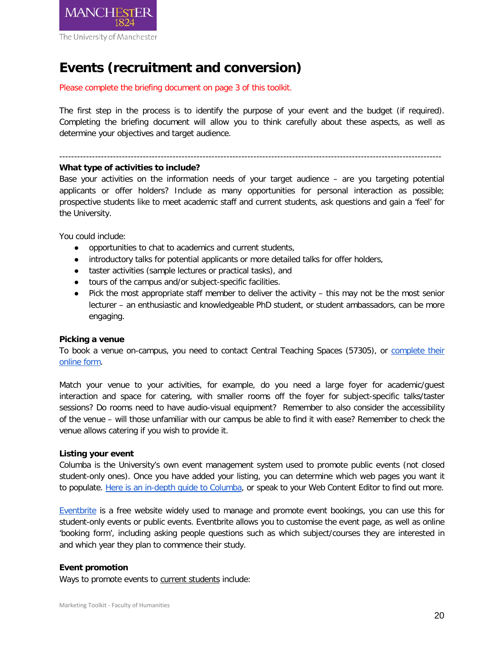

## <span id="page-19-0"></span>**Events (recruitment and conversion)**

Please complete the briefing document on page 3 of this toolkit.

The first step in the process is to identify the purpose of your event and the budget (if required). Completing the briefing document will allow you to think carefully about these aspects, as well as determine your objectives and target audience.

#### --------------------------------------------------------------------------------------------------------------------------------

## **What type of activities to include?**

Base your activities on the information needs of your target audience – are you targeting potential applicants or offer holders? Include as many opportunities for personal interaction as possible; prospective students like to meet academic staff and current students, ask questions and gain a 'feel' for the University.

You could include:

- opportunities to chat to academics and current students,
- introductory talks for potential applicants or more detailed talks for offer holders,
- taster activities (sample lectures or practical tasks), and
- tours of the campus and/or subject-specific facilities.
- Pick the most appropriate staff member to deliver the activity this may not be the most senior lecturer – an enthusiastic and knowledgeable PhD student, or student ambassadors, can be more engaging.

## **Picking a venue**

To book a venue on-campus, you need to contact Central Teaching Spaces (57305), or [complete their](http://www.estates.manchester.ac.uk/services/centralteachingspaces/ourservices/roombooking/)  [online form.](http://www.estates.manchester.ac.uk/services/centralteachingspaces/ourservices/roombooking/)

Match your venue to your activities, for example, do you need a large foyer for academic/guest interaction and space for catering, with smaller rooms off the foyer for subject-specific talks/taster sessions? Do rooms need to have audio-visual equipment? Remember to also consider the accessibility of the venue – will those unfamiliar with our campus be able to find it with ease? Remember to check the venue allows catering if you wish to provide it.

## **Listing your event**

Columba is the University's own event management system used to promote public events (not closed student-only ones). Once you have added your listing, you can determine which web pages you want it to populate. [Here is an in-depth guide to Columba,](http://www.humanities.manchester.ac.uk/medialibrary/alc/websiteresources/guidelines/columba-user-guide.pdf) or speak to your Web Content Editor to find out more.

[Eventbrite](https://www.eventbrite.co.uk/) is a free website widely used to manage and promote event bookings, you can use this for student-only events or public events. Eventbrite allows you to customise the event page, as well as online 'booking form', including asking people questions such as which subject/courses they are interested in and which year they plan to commence their study.

## **Event promotion**

Ways to promote events to current students include: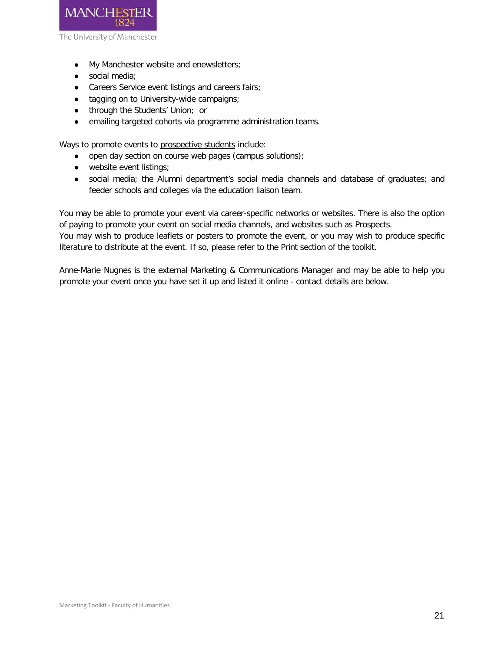

- My Manchester website and enewsletters;
- social media;
- Careers Service event listings and careers fairs;
- tagging on to University-wide campaigns;
- through the Students' Union; or
- emailing targeted cohorts via programme administration teams.

Ways to promote events to prospective students include:

- open day section on course web pages (campus solutions);
- website event listings;
- social media; the Alumni department's social media channels and database of graduates; and feeder schools and colleges via the education liaison team.

You may be able to promote your event via career-specific networks or websites. There is also the option of paying to promote your event on social media channels, and websites such as Prospects.

You may wish to produce leaflets or posters to promote the event, or you may wish to produce specific literature to distribute at the event. If so, please refer to the Print section of the toolkit.

Anne-Marie Nugnes is the external Marketing & Communications Manager and may be able to help you promote your event once you have set it up and listed it online - contact details are below.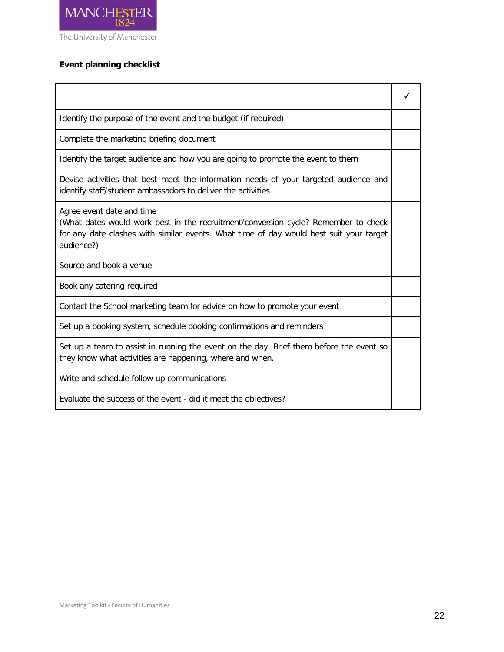

## **Event planning checklist**

| Identify the purpose of the event and the budget (if required)                                                                                                                                                          |  |
|-------------------------------------------------------------------------------------------------------------------------------------------------------------------------------------------------------------------------|--|
| Complete the marketing briefing document                                                                                                                                                                                |  |
| Identify the target audience and how you are going to promote the event to them                                                                                                                                         |  |
| Devise activities that best meet the information needs of your targeted audience and<br>identify staff/student ambassadors to deliver the activities                                                                    |  |
| Agree event date and time<br>(What dates would work best in the recruitment/conversion cycle? Remember to check<br>for any date clashes with similar events. What time of day would best suit your target<br>audience?) |  |
| Source and book a venue                                                                                                                                                                                                 |  |
| Book any catering required                                                                                                                                                                                              |  |
| Contact the School marketing team for advice on how to promote your event                                                                                                                                               |  |
| Set up a booking system, schedule booking confirmations and reminders                                                                                                                                                   |  |
| Set up a team to assist in running the event on the day. Brief them before the event so<br>they know what activities are happening, where and when.                                                                     |  |
| Write and schedule follow up communications                                                                                                                                                                             |  |
| Evaluate the success of the event - did it meet the objectives?                                                                                                                                                         |  |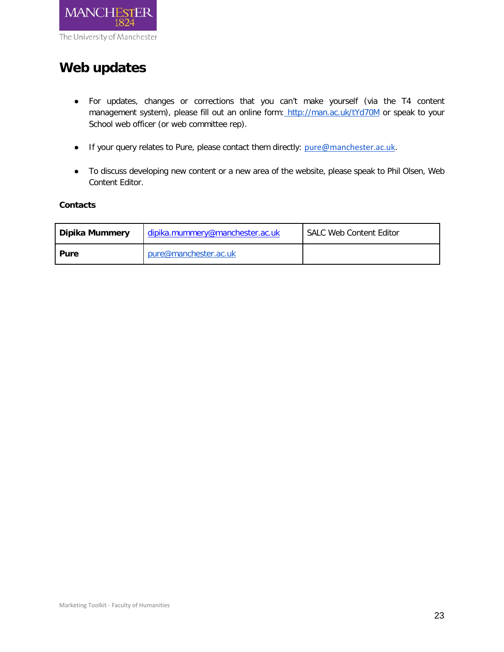

## <span id="page-22-0"></span>**Web updates**

- For updates, changes or corrections that you can't make yourself (via the T4 content management system), please fill out an online form: <http://man.ac.uk/tYd70M> or speak to your School web officer (or web committee rep).
- If your query relates to Pure, please contact them directly: [pure@manchester.ac.uk.](mailto:pure@manchester.ac.uk)
- To discuss developing new content or a new area of the website, please speak to Phil Olsen, Web Content Editor.

## **Contacts**

| Dipika Mummery | dipika.mummery@manchester.ac.uk | <b>SALC Web Content Editor</b> |
|----------------|---------------------------------|--------------------------------|
| Pure           | pure@manchester.ac.uk           |                                |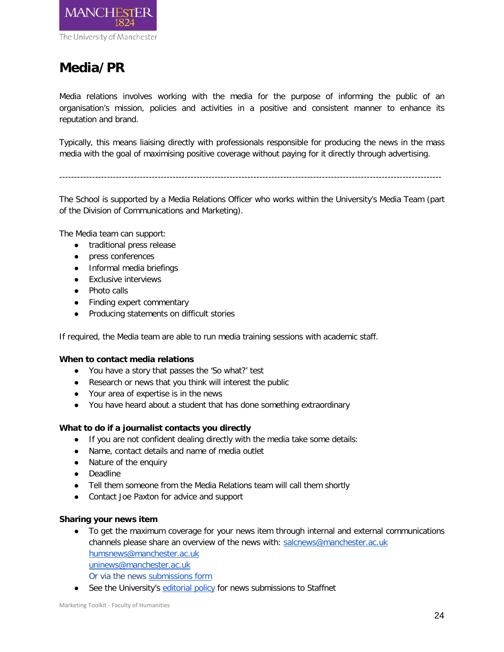

## <span id="page-23-0"></span>**Media/PR**

Media relations involves working with the media for the purpose of informing the public of an organisation's mission, policies and activities in a positive and consistent manner to enhance its reputation and brand.

Typically, this means liaising directly with professionals responsible for producing the news in the mass media with the goal of maximising positive coverage without paying for it directly through advertising.

--------------------------------------------------------------------------------------------------------------------------------

The School is supported by a Media Relations Officer who works within the University's Media Team (part of the Division of Communications and Marketing).

The Media team can support:

- traditional press release
- press conferences
- Informal media briefings
- Exclusive interviews
- Photo calls
- Finding expert commentary
- Producing statements on difficult stories

If required, the Media team are able to run media training sessions with academic staff.

## **When to contact media relations**

- You have a story that passes the 'So what?' test
- Research or news that you think will interest the public
- Your area of expertise is in the news
- You have heard about a student that has done something extraordinary

## **What to do if a journalist contacts you directly**

- If you are not confident dealing directly with the media take some details:
- Name, contact details and name of media outlet
- Nature of the enquiry
- Deadline
- Tell them someone from the Media Relations team will call them shortly
- Contact Joe Paxton for advice and support

## **Sharing your news item**

- To get the maximum coverage for your news item through internal and external communications channels please share an overview of the news with: [salcnews@manchester.ac.uk](mailto:salcnews@manchester.ac.uk) [humsnews@manchester.ac.uk](mailto:humsnews@manchester.ac.uk) [uninews@manchester.ac.uk](mailto:uninews@manchester.ac.uk)
	- Or via the news [submissions form](http://www.staffnet.manchester.ac.uk/news/submitnews/)
- See the University's [editorial policy](http://www.staffnet.manchester.ac.uk/news/submitnews/editorialpolicy/) for news submissions to Staffnet